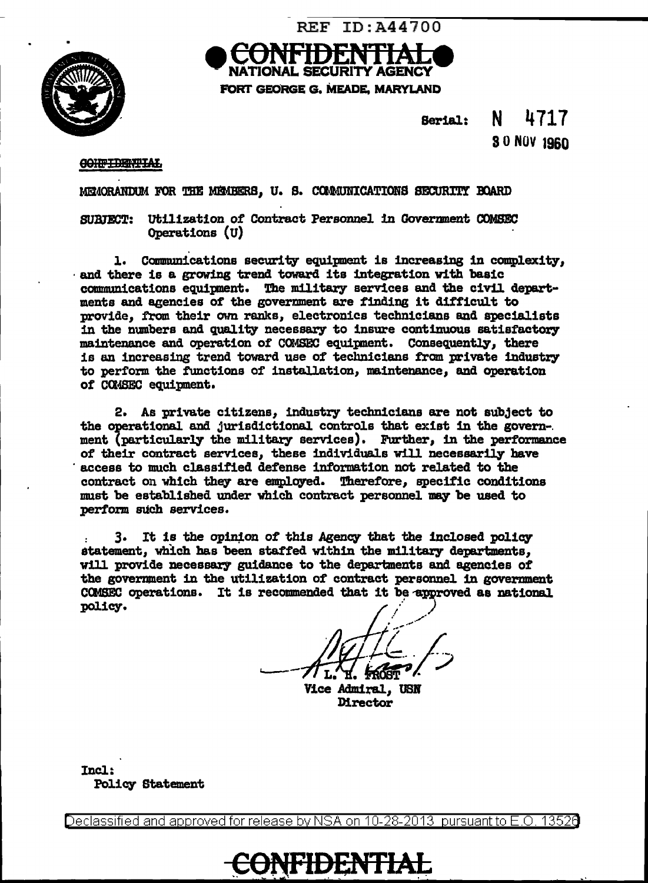

TIONAL SECURITY AGENCY FORT GEORGE G. MEADE, MARYLAND

**REF ID: A44700** 

N 4717 Serial: 30 NOV 1960

#### **CONFIDENTIAL**

MEMORANDUM FOR THE MEMBERS. U. S. COMMUNICATIONS SECURITY BOARD

SURFECT: Utilization of Contract Personnel in Government COMSEC Operations (U)

1. Communications security equipment is increasing in complexity, and there is a growing trend toward its integration with basic communications equipment. The military services and the civil depart-<br>ments and agencies of the government are finding it difficult to provide. from their own ranks, electronics technicians and specialists in the numbers and quality necessary to insure continuous satisfactory maintenance and operation of COMSEC equipment. Consequently, there is an increasing trend toward use of technicians from private industry to perform the functions of installation, maintenance, and operation of COMSEC equipment.

2. As private citizens, industry technicians are not subject to the operational and jurisdictional controls that exist in the government (particularly the military services). Further, in the performance of their contract services, these individuals will necessarily have access to much classified defense information not related to the contract on which they are employed. Therefore, specific conditions must be established under which contract personnel may be used to perform such services.

3. It is the opinion of this Agency that the inclosed policy statement, which has been staffed within the military departments, will provide necessary guidance to the departments and agencies of the government in the utilization of contract personnel in government COMSEC operations. It is recommended that it be approved as national policy.

Vice Admiral, USN Director

Incl: **Policy Statement** 

Declassified and approved for release by NSA on 10-28-2013 pursuant to E.O. 13526

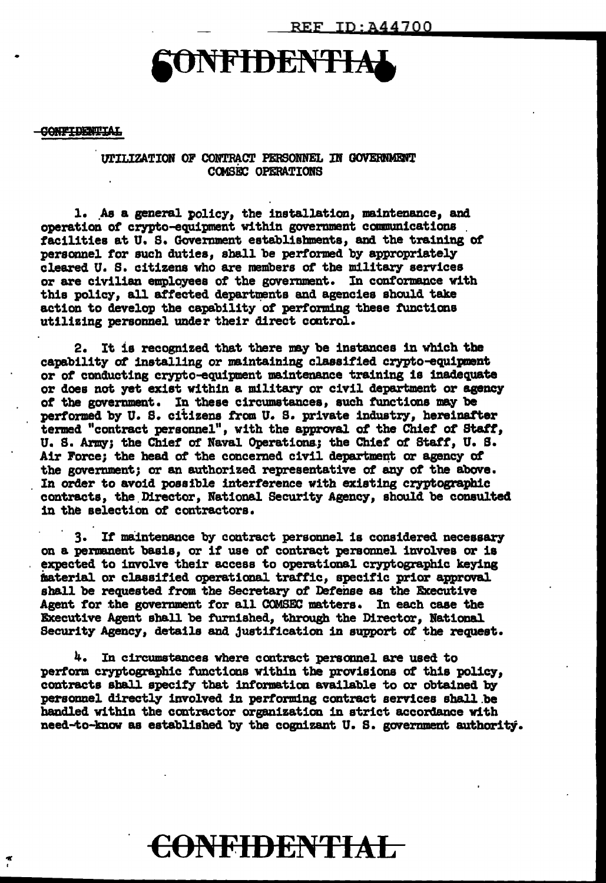# NFIDENTIA

#### **CONFIDENTIAL**

 $\tilde{\mathbf{r}}$ 

UTILIZATION OF CONTRACT PERSONNEL IN GOVERNMENT **COMSEC OPERATIONS** 

1. As a general policy, the installation, maintenance, and operation of crypto-equipment within government communications facilities at U. S. Government establishments, and the training of personnel for such duties, shall be performed by appropriately cleared U. S. citizens who are members of the military services or are civilian employees of the government. In conformance with this policy, all affected departments and agencies should take action to develop the capability of performing these functions utilizing personnel under their direct control.

2. It is recognized that there may be instances in which the capability of installing or maintaining classified crypto-equipment or of conducting crypto-equipment maintenance training is inadequate or does not yet exist within a military or civil department or agency of the government. In these circumstances, such functions may be performed by U. S. citizens from U. S. private industry, hereinafter termed "contract personnel", with the approval of the Chief of Staff, U. S. Army; the Chief of Naval Operations; the Chief of Staff, U. S. Air Force; the head of the concerned civil department or agency of the government; or an authorized representative of any of the above. In order to avoid possible interference with existing cryptographic contracts, the Director, National Security Agency, should be consulted in the selection of contractors.

3. If maintenance by contract personnel is considered necessary on a permanent basis, or if use of contract personnel involves or is expected to involve their access to operational cryptographic keying material or classified operational traffic, specific prior approval shall be requested from the Secretary of Defense as the Executive Agent for the government for all COMSEC matters. In each case the Executive Agent shall be furnished, through the Director, National Security Agency, details and justification in support of the request.

4. In circumstances where contract personnel are used to perform cryptographic functions within the provisions of this policy, contracts shall specify that information available to or obtained by personnel directly involved in performing contract services shall be handled within the contractor organization in strict accordance with need-to-know as established by the cognizant U.S. government authority.

## CONFIDENTIAL